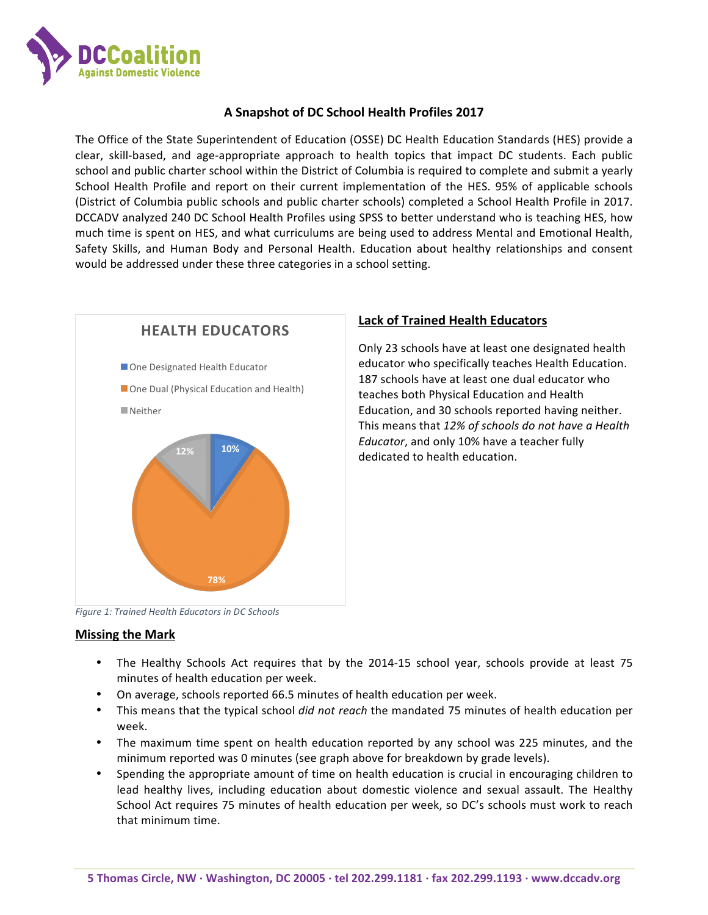

# **A Snapshot of DC School Health Profiles 2017**

The Office of the State Superintendent of Education (OSSE) DC Health Education Standards (HES) provide a clear, skill-based, and age-appropriate approach to health topics that impact DC students. Each public school and public charter school within the District of Columbia is required to complete and submit a yearly School Health Profile and report on their current implementation of the HES. 95% of applicable schools (District of Columbia public schools and public charter schools) completed a School Health Profile in 2017. DCCADV analyzed 240 DC School Health Profiles using SPSS to better understand who is teaching HES, how much time is spent on HES, and what curriculums are being used to address Mental and Emotional Health, Safety Skills, and Human Body and Personal Health. Education about healthy relationships and consent would be addressed under these three categories in a school setting.



### **Lack of Trained Health Educators**

Only 23 schools have at least one designated health educator who specifically teaches Health Education. 187 schools have at least one dual educator who teaches both Physical Education and Health Education, and 30 schools reported having neither. This means that 12% of schools do not have a Health *Educator*, and only 10% have a teacher fully dedicated to health education.

Figure 1: Trained Health Educators in DC Schools

#### **Missing the Mark**

- The Healthy Schools Act requires that by the 2014-15 school year, schools provide at least 75 minutes of health education per week.
- On average, schools reported 66.5 minutes of health education per week.
- This means that the typical school *did not reach* the mandated 75 minutes of health education per week.
- The maximum time spent on health education reported by any school was 225 minutes, and the minimum reported was 0 minutes (see graph above for breakdown by grade levels).
- Spending the appropriate amount of time on health education is crucial in encouraging children to lead healthy lives, including education about domestic violence and sexual assault. The Healthy School Act requires 75 minutes of health education per week, so DC's schools must work to reach that minimum time.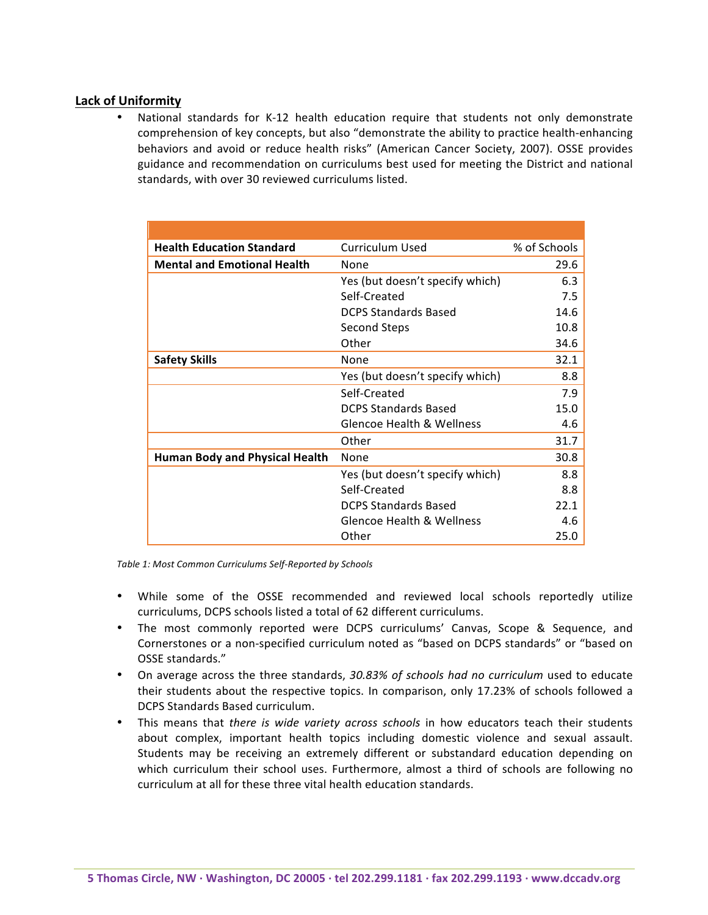# **Lack of Uniformity**

• National standards for K-12 health education require that students not only demonstrate comprehension of key concepts, but also "demonstrate the ability to practice health-enhancing behaviors and avoid or reduce health risks" (American Cancer Society, 2007). OSSE provides guidance and recommendation on curriculums best used for meeting the District and national standards, with over 30 reviewed curriculums listed.

| <b>Health Education Standard</b>      | Curriculum Used                 | % of Schools |
|---------------------------------------|---------------------------------|--------------|
| <b>Mental and Emotional Health</b>    | None                            | 29.6         |
|                                       | Yes (but doesn't specify which) | 6.3          |
|                                       | Self-Created                    | 7.5          |
|                                       | <b>DCPS Standards Based</b>     | 14.6         |
|                                       | <b>Second Steps</b>             | 10.8         |
|                                       | Other                           | 34.6         |
| <b>Safety Skills</b>                  | None                            | 32.1         |
|                                       | Yes (but doesn't specify which) | 8.8          |
|                                       | Self-Created                    | 7.9          |
|                                       | <b>DCPS Standards Based</b>     | 15.0         |
|                                       | Glencoe Health & Wellness       | 4.6          |
|                                       | Other                           | 31.7         |
| <b>Human Body and Physical Health</b> | None                            | 30.8         |
|                                       | Yes (but doesn't specify which) | 8.8          |
|                                       | Self-Created                    | 8.8          |
|                                       | <b>DCPS Standards Based</b>     | 22.1         |
|                                       | Glencoe Health & Wellness       | 4.6          |
|                                       | Other                           | 25.0         |

Table 1: Most Common Curriculums Self-Reported by Schools

- While some of the OSSE recommended and reviewed local schools reportedly utilize curriculums, DCPS schools listed a total of 62 different curriculums.
- The most commonly reported were DCPS curriculums' Canvas, Scope & Sequence, and Cornerstones or a non-specified curriculum noted as "based on DCPS standards" or "based on OSSE standards."
- On average across the three standards, 30.83% of schools had no curriculum used to educate their students about the respective topics. In comparison, only 17.23% of schools followed a DCPS Standards Based curriculum.
- This means that *there is wide variety across schools* in how educators teach their students about complex, important health topics including domestic violence and sexual assault. Students may be receiving an extremely different or substandard education depending on which curriculum their school uses. Furthermore, almost a third of schools are following no curriculum at all for these three vital health education standards.